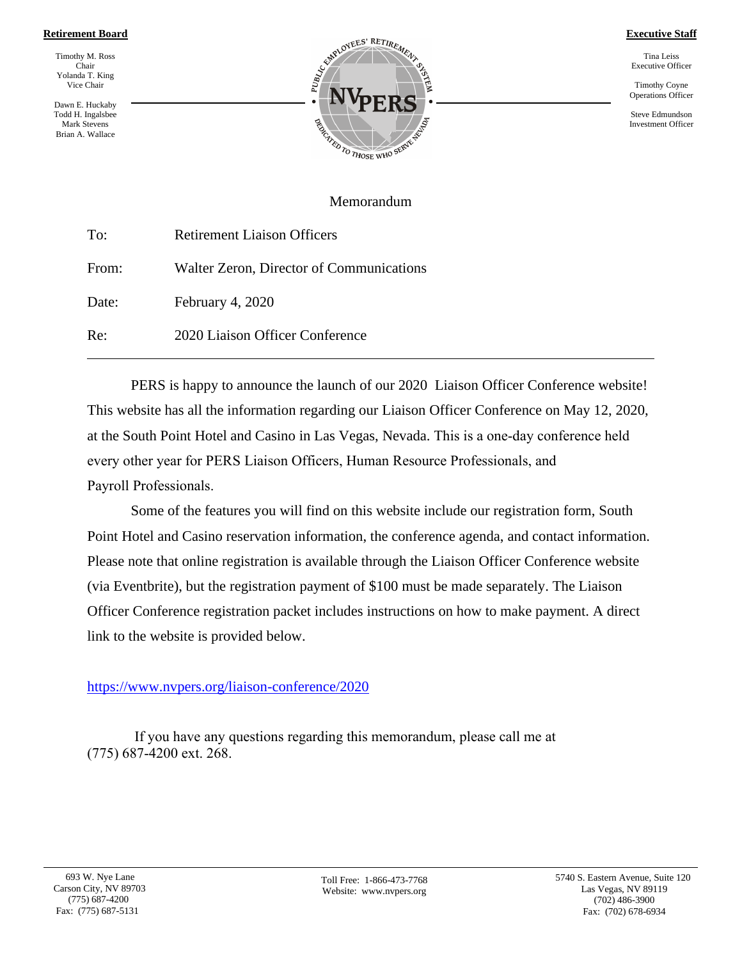#### **Retirement Board**

Timothy M. Ross Chair Yolanda T. King Vice Chair

Dawn E. Huckaby Todd H. Ingalsbee Mark Stevens Brian A. Wallace



**Executive Staff**

Tina Leiss Executive Officer

Timothy Coyne Operations Officer

Steve Edmundson Investment Officer

#### Memorandum

| To:   | <b>Retirement Liaison Officers</b>       |  |
|-------|------------------------------------------|--|
| From: | Walter Zeron, Director of Communications |  |
| Date: | February 4, 2020                         |  |
| Re:   | 2020 Liaison Officer Conference          |  |

PERS is happy to announce the launch of our 2020 Liaison Officer Conference website! This website has all the information regarding our Liaison Officer Conference on May 12, 2020, at the South Point Hotel and Casino in Las Vegas, Nevada. This is a one-day conference held every other year for PERS Liaison Officers, Human Resource Professionals, and Payroll Professionals.

Some of the features you will find on this website include our registration form, South Point Hotel and Casino reservation information, the conference agenda, and contact information. Please note that online registration is available through the Liaison Officer Conference website (via Eventbrite), but the registration payment of \$100 must be made separately. The Liaison Officer Conference registration packet includes instructions on how to make payment. A direct link to the website is provided below.

#### <https://www.nvpers.org/liaison-conference/2020>

If you have any questions regarding this memorandum, please call me at (775) 687-4200 ext. 268.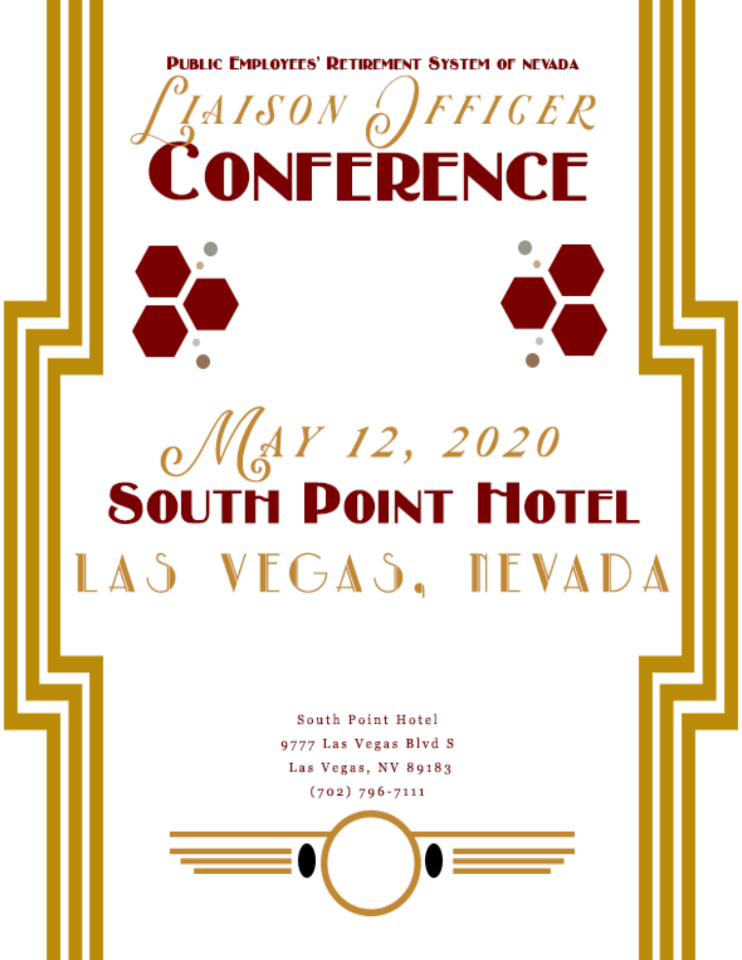

CONFERENCE

# $\frac{1}{2}$  May 12, 2020<br>South Point Motel LAS VEGAS, DEVADA

South Point Hotel 9777 Las Vegas Blvd S Las Vegas, NV 89183  $(702) 796 - 7111$ 

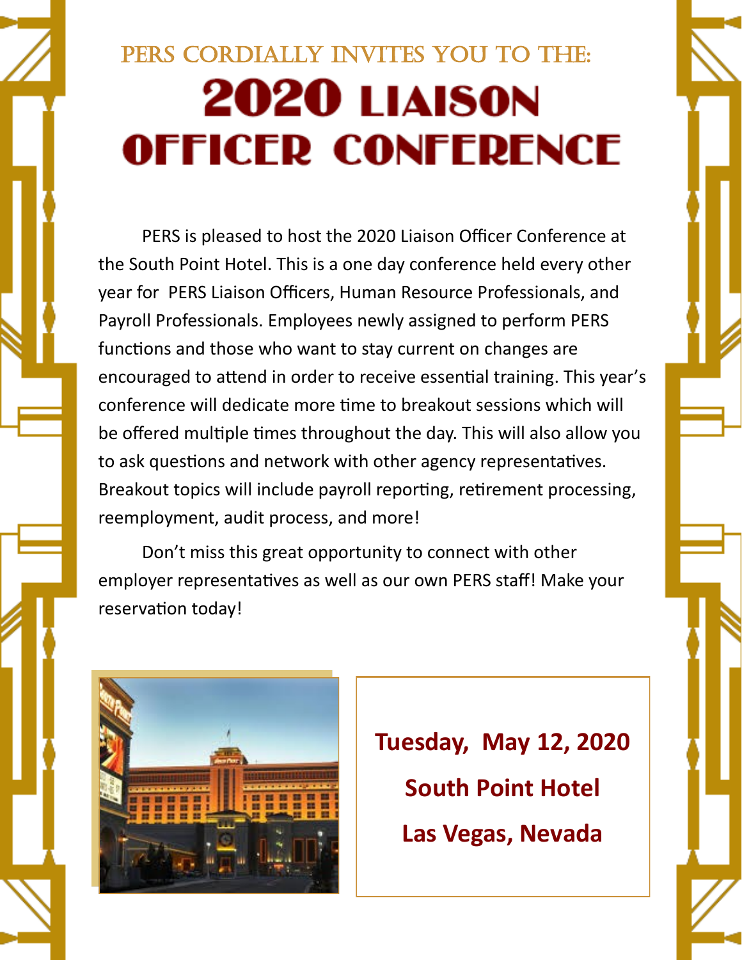# PERS CORDIALLY INVITES YOU TO THE: **2020 LIAISON OFFICER CONFERENCE**

PERS is pleased to host the 2020 Liaison Officer Conference at the South Point Hotel. This is a one day conference held every other year for PERS Liaison Officers, Human Resource Professionals, and Payroll Professionals. Employees newly assigned to perform PERS functions and those who want to stay current on changes are encouraged to attend in order to receive essential training. This year's conference will dedicate more time to breakout sessions which will be offered multiple times throughout the day. This will also allow you to ask questions and network with other agency representatives. Breakout topics will include payroll reporting, retirement processing, reemployment, audit process, and more!

Don't miss this great opportunity to connect with other employer representatives as well as our own PERS staff! Make your reservation today!



**Tuesday, May 12, 2020 South Point Hotel Las Vegas, Nevada**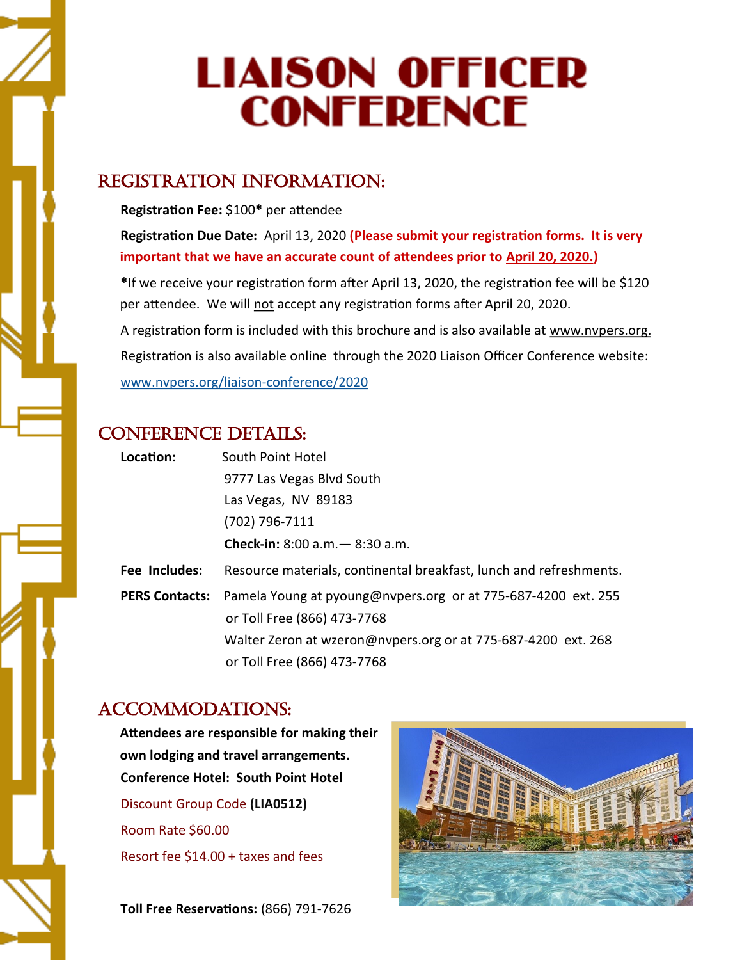# **LIAISON OFFICER CONFERENCE**

#### Registration Information:

**Registration Fee:** \$100**\*** per attendee

**Registration Due Date:** April 13, 2020 **(Please submit your registration forms. It is very important that we have an accurate count of attendees prior to April 20, 2020.)**

**\***If we receive your registration form after April 13, 2020, the registration fee will be \$120 per attendee. We will not accept any registration forms after April 20, 2020. A registration form is included with this brochure and is also available at www.nvpers.org. Registration is also available online through the 2020 Liaison Officer Conference website: [www.nvpers.org/liaison](https://www.nvpers.org/liaison-conference/2020)-conference/2020

#### CONFERENCE DETAILS:

| Location:     | South Point Hotel                                                                                                  |  |
|---------------|--------------------------------------------------------------------------------------------------------------------|--|
|               | 9777 Las Vegas Blvd South                                                                                          |  |
|               | Las Vegas, NV 89183                                                                                                |  |
|               | (702) 796-7111                                                                                                     |  |
|               | <b>Check-in:</b> 8:00 $a.m. - 8:30 a.m.$                                                                           |  |
| Fee Includes: | Resource materials, continental breakfast, lunch and refreshments.                                                 |  |
|               | <b>PERS Contacts:</b> Pamela Young at pyoung@nvpers.org or at 775-687-4200 ext. 255<br>or Toll Free (866) 473-7768 |  |
|               | Walter Zeron at wzeron@nvpers.org or at 775-687-4200 ext. 268                                                      |  |
|               | or Toll Free (866) 473-7768                                                                                        |  |

#### Accommodations:

**Attendees are responsible for making their own lodging and travel arrangements. Conference Hotel: South Point Hotel** Discount Group Code **(LIA0512)** Room Rate \$60.00 Resort fee \$14.00 + taxes and fees

**Toll Free Reservations:** (866) 791-7626

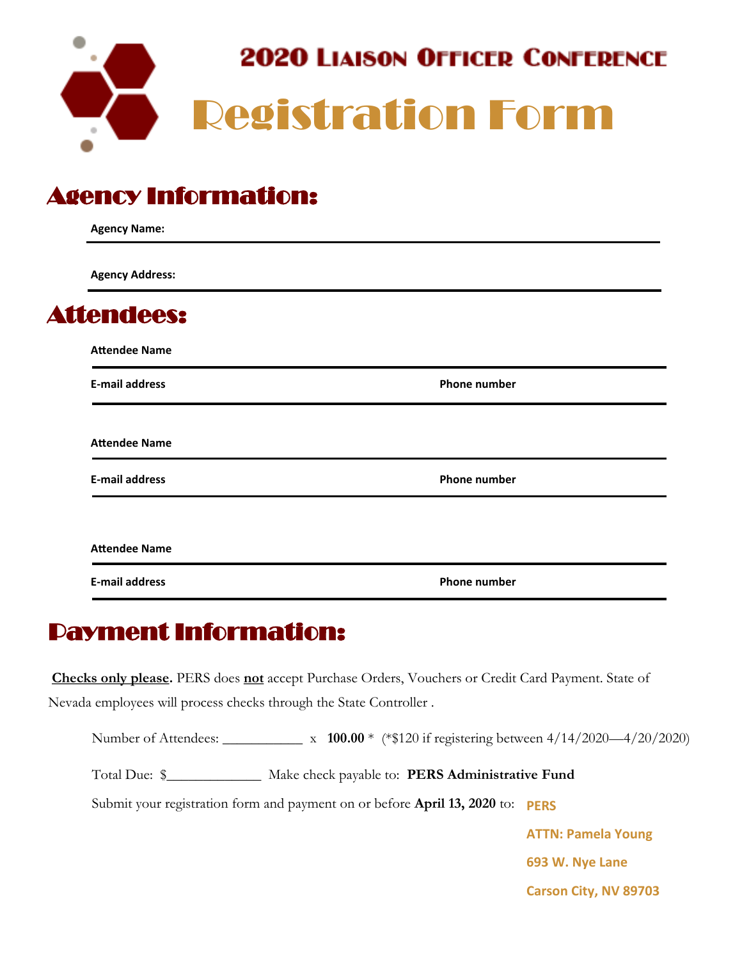

## Agency Information:

| <b>Agency Name:</b>    |                     |  |  |
|------------------------|---------------------|--|--|
| <b>Agency Address:</b> |                     |  |  |
| <b>Attendees:</b>      |                     |  |  |
| <b>Attendee Name</b>   |                     |  |  |
| <b>E-mail address</b>  | <b>Phone number</b> |  |  |
| <b>Attendee Name</b>   |                     |  |  |
| <b>E-mail address</b>  | <b>Phone number</b> |  |  |
| <b>Attendee Name</b>   |                     |  |  |
| <b>E-mail address</b>  | <b>Phone number</b> |  |  |

## Payment Information:

**Checks only please.** PERS does **not** accept Purchase Orders, Vouchers or Credit Card Payment. State of Nevada employees will process checks through the State Controller .

Number of Attendees: \_\_\_\_\_\_\_\_\_\_\_ x **100.00** \* (\*\$120 if registering between 4/14/2020—4/20/2020)

Total Due: \$\_\_\_\_\_\_\_\_\_\_\_\_\_ Make check payable to: **PERS Administrative Fund**

Submit your registration form and payment on or before **April 13, 2020** to: **PERS** 

**ATTN: Pamela Young 693 W. Nye Lane Carson City, NV 89703**